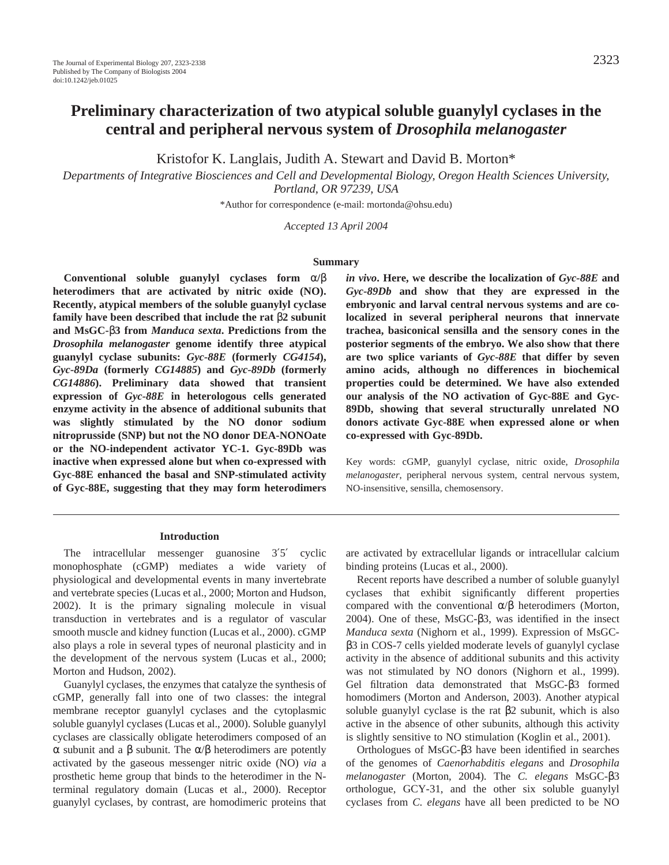# **Preliminary characterization of two atypical soluble guanylyl cyclases in the central and peripheral nervous system of** *Drosophila melanogaster*

Kristofor K. Langlais, Judith A. Stewart and David B. Morton\*

*Departments of Integrative Biosciences and Cell and Developmental Biology, Oregon Health Sciences University, Portland, OR 97239, USA*

\*Author for correspondence (e-mail: mortonda@ohsu.edu)

*Accepted 13 April 2004*

#### **Summary**

**Conventional soluble guanylyl cyclases form** α**/**β **heterodimers that are activated by nitric oxide (NO). Recently, atypical members of the soluble guanylyl cyclase family have been described that include the rat** β**2 subunit and MsGC-**β**3 from** *Manduca sexta***. Predictions from the** *Drosophila melanogaster* **genome identify three atypical guanylyl cyclase subunits:** *Gyc-88E* **(formerly** *CG4154***),** *Gyc-89Da* **(formerly** *CG14885***) and** *Gyc-89Db* **(formerly** *CG14886***). Preliminary data showed that transient expression of** *Gyc-88E* **in heterologous cells generated enzyme activity in the absence of additional subunits that was slightly stimulated by the NO donor sodium nitroprusside (SNP) but not the NO donor DEA-NONOate or the NO-independent activator YC-1. Gyc-89Db was inactive when expressed alone but when co-expressed with Gyc-88E enhanced the basal and SNP-stimulated activity of Gyc-88E, suggesting that they may form heterodimers** *in vivo***. Here, we describe the localization of** *Gyc-88E* **and** *Gyc-89Db* **and show that they are expressed in the embryonic and larval central nervous systems and are colocalized in several peripheral neurons that innervate trachea, basiconical sensilla and the sensory cones in the posterior segments of the embryo. We also show that there are two splice variants of** *Gyc-88E* **that differ by seven amino acids, although no differences in biochemical properties could be determined. We have also extended our analysis of the NO activation of Gyc-88E and Gyc-89Db, showing that several structurally unrelated NO donors activate Gyc-88E when expressed alone or when co-expressed with Gyc-89Db.**

Key words: cGMP, guanylyl cyclase, nitric oxide, *Drosophila melanogaster*, peripheral nervous system, central nervous system, NO-insensitive, sensilla, chemosensory.

#### **Introduction**

The intracellular messenger guanosine 3'5' cyclic monophosphate (cGMP) mediates a wide variety of physiological and developmental events in many invertebrate and vertebrate species (Lucas et al., 2000; Morton and Hudson, 2002). It is the primary signaling molecule in visual transduction in vertebrates and is a regulator of vascular smooth muscle and kidney function (Lucas et al., 2000). cGMP also plays a role in several types of neuronal plasticity and in the development of the nervous system (Lucas et al., 2000; Morton and Hudson, 2002).

Guanylyl cyclases, the enzymes that catalyze the synthesis of cGMP, generally fall into one of two classes: the integral membrane receptor guanylyl cyclases and the cytoplasmic soluble guanylyl cyclases (Lucas et al., 2000). Soluble guanylyl cyclases are classically obligate heterodimers composed of an α subunit and a β subunit. The α/β heterodimers are potently activated by the gaseous messenger nitric oxide (NO) *via* a prosthetic heme group that binds to the heterodimer in the Nterminal regulatory domain (Lucas et al., 2000). Receptor guanylyl cyclases, by contrast, are homodimeric proteins that are activated by extracellular ligands or intracellular calcium binding proteins (Lucas et al., 2000).

Recent reports have described a number of soluble guanylyl cyclases that exhibit significantly different properties compared with the conventional α/β heterodimers (Morton, 2004). One of these, MsGC-β3, was identified in the insect *Manduca sexta* (Nighorn et al., 1999). Expression of MsGCβ3 in COS-7 cells yielded moderate levels of guanylyl cyclase activity in the absence of additional subunits and this activity was not stimulated by NO donors (Nighorn et al., 1999). Gel filtration data demonstrated that MsGC-β3 formed homodimers (Morton and Anderson, 2003). Another atypical soluble guanylyl cyclase is the rat β2 subunit, which is also active in the absence of other subunits, although this activity is slightly sensitive to NO stimulation (Koglin et al., 2001).

Orthologues of MsGC-β3 have been identified in searches of the genomes of *Caenorhabditis elegans* and *Drosophila melanogaster* (Morton, 2004)*.* The *C. elegans* MsGC-β3 orthologue, GCY-31, and the other six soluble guanylyl cyclases from *C. elegans* have all been predicted to be NO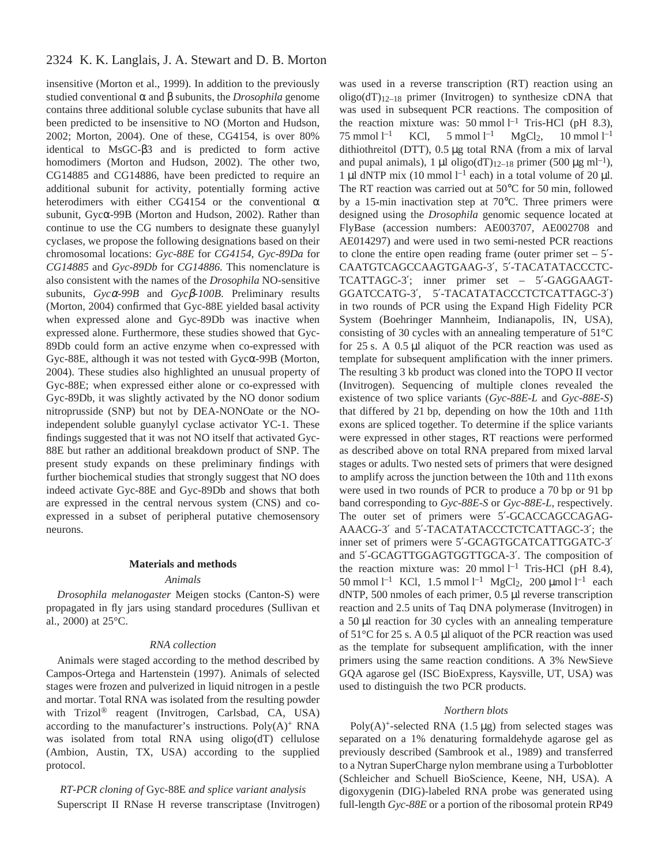insensitive (Morton et al., 1999). In addition to the previously studied conventional α and β subunits, the *Drosophila* genome contains three additional soluble cyclase subunits that have all been predicted to be insensitive to NO (Morton and Hudson, 2002; Morton, 2004). One of these, CG4154, is over 80% identical to MsGC-β3 and is predicted to form active homodimers (Morton and Hudson, 2002). The other two, CG14885 and CG14886, have been predicted to require an additional subunit for activity, potentially forming active heterodimers with either CG4154 or the conventional  $\alpha$ subunit, Gycα-99B (Morton and Hudson, 2002). Rather than continue to use the CG numbers to designate these guanylyl cyclases, we propose the following designations based on their chromosomal locations: *Gyc-88E* for *CG4154*, *Gyc-89Da* for *CG14885* and *Gyc-89Db* for *CG14886*. This nomenclature is also consistent with the names of the *Drosophila* NO-sensitive subunits, *Gyc*α*-99B* and *Gyc*β*-100B*. Preliminary results (Morton, 2004) confirmed that Gyc-88E yielded basal activity when expressed alone and Gyc-89Db was inactive when expressed alone. Furthermore, these studies showed that Gyc-89Db could form an active enzyme when co-expressed with Gyc-88E, although it was not tested with Gycα-99B (Morton, 2004). These studies also highlighted an unusual property of Gyc-88E; when expressed either alone or co-expressed with Gyc-89Db, it was slightly activated by the NO donor sodium nitroprusside (SNP) but not by DEA-NONOate or the NOindependent soluble guanylyl cyclase activator YC-1. These findings suggested that it was not NO itself that activated Gyc-88E but rather an additional breakdown product of SNP. The present study expands on these preliminary findings with further biochemical studies that strongly suggest that NO does indeed activate Gyc-88E and Gyc-89Db and shows that both are expressed in the central nervous system (CNS) and coexpressed in a subset of peripheral putative chemosensory neurons.

### **Materials and methods**

### *Animals*

*Drosophila melanogaster* Meigen stocks (Canton-S) were propagated in fly jars using standard procedures (Sullivan et al., 2000) at 25°C.

#### *RNA collection*

Animals were staged according to the method described by Campos-Ortega and Hartenstein (1997). Animals of selected stages were frozen and pulverized in liquid nitrogen in a pestle and mortar. Total RNA was isolated from the resulting powder with Trizol® reagent (Invitrogen, Carlsbad, CA, USA) according to the manufacturer's instructions.  $Poly(A)^+$  RNA was isolated from total RNA using oligo(dT) cellulose (Ambion, Austin, TX, USA) according to the supplied protocol.

*RT-PCR cloning of* Gyc-88E *and splice variant analysis* Superscript II RNase H reverse transcriptase (Invitrogen) was used in a reverse transcription (RT) reaction using an oligo( $dT$ )<sub>12–18</sub> primer (Invitrogen) to synthesize cDNA that was used in subsequent PCR reactions. The composition of the reaction mixture was: 50 mmol  $l^{-1}$  Tris-HCl (pH 8.3), 75 mmol  $l^{-1}$ KCl,  $5 \text{ mmol } l^{-1}$  $MgCl<sub>2</sub>$  $10 \text{ mmol } 1^{-1}$ dithiothreitol (DTT), 0.5 µg total RNA (from a mix of larval and pupal animals), 1 µl oligo(dT)<sub>12–18</sub> primer (500 µg ml<sup>-1</sup>), 1 µl dNTP mix (10 mmol  $l^{-1}$  each) in a total volume of 20 µl. The RT reaction was carried out at 50 $^{\circ}$ C for 50 min, followed by a 15-min inactivation step at 70°C. Three primers were designed using the *Drosophila* genomic sequence located at FlyBase (accession numbers: AE003707, AE002708 and AE014297) and were used in two semi-nested PCR reactions to clone the entire open reading frame (outer primer set  $-5'$ -CAATGTCAGCCAAGTGAAG-3′, 5′-TACATATACCCTC-TCATTAGC-3′; inner primer set – 5′-GAGGAAGT-GGATCCATG-3′, 5′-TACATATACCCTCTCATTAGC-3′) in two rounds of PCR using the Expand High Fidelity PCR System (Boehringer Mannheim, Indianapolis, IN, USA), consisting of 30 cycles with an annealing temperature of 51°C for  $25 s$ . A  $0.5 \mu l$  aliquot of the PCR reaction was used as template for subsequent amplification with the inner primers. The resulting 3 kb product was cloned into the TOPO II vector (Invitrogen). Sequencing of multiple clones revealed the existence of two splice variants (*Gyc-88E-L* and *Gyc-88E-S*) that differed by 21 bp, depending on how the 10th and 11th exons are spliced together. To determine if the splice variants were expressed in other stages, RT reactions were performed as described above on total RNA prepared from mixed larval stages or adults. Two nested sets of primers that were designed to amplify across the junction between the 10th and 11th exons were used in two rounds of PCR to produce a 70 bp or 91 bp band corresponding to *Gyc-88E-S* or *Gyc-88E-L*, respectively. The outer set of primers were 5'-GCACCAGCCAGAG-AAACG-3′ and 5′-TACATATACCCTCTCATTAGC-3′; the inner set of primers were 5′-GCAGTGCATCATTGGATC-3′ and 5′-GCAGTTGGAGTGGTTGCA-3′. The composition of the reaction mixture was: 20 mmol  $l^{-1}$  Tris-HCl (pH 8.4), 50 mmol  $l^{-1}$  KCl, 1.5 mmol  $l^{-1}$  MgCl<sub>2</sub>, 200 µmol  $l^{-1}$  each dNTP, 500 nmoles of each primer, 0.5 µl reverse transcription reaction and 2.5 units of Taq DNA polymerase (Invitrogen) in a  $50 \mu l$  reaction for 30 cycles with an annealing temperature of  $51^{\circ}$ C for 25 s. A 0.5 µl aliquot of the PCR reaction was used as the template for subsequent amplification, with the inner primers using the same reaction conditions. A 3% NewSieve GQA agarose gel (ISC BioExpress, Kaysville, UT, USA) was used to distinguish the two PCR products.

#### *Northern blots*

Poly(A)<sup>+</sup>-selected RNA (1.5  $\mu$ g) from selected stages was separated on a 1% denaturing formaldehyde agarose gel as previously described (Sambrook et al., 1989) and transferred to a Nytran SuperCharge nylon membrane using a Turboblotter (Schleicher and Schuell BioScience, Keene, NH, USA). A digoxygenin (DIG)-labeled RNA probe was generated using full-length *Gyc-88E* or a portion of the ribosomal protein RP49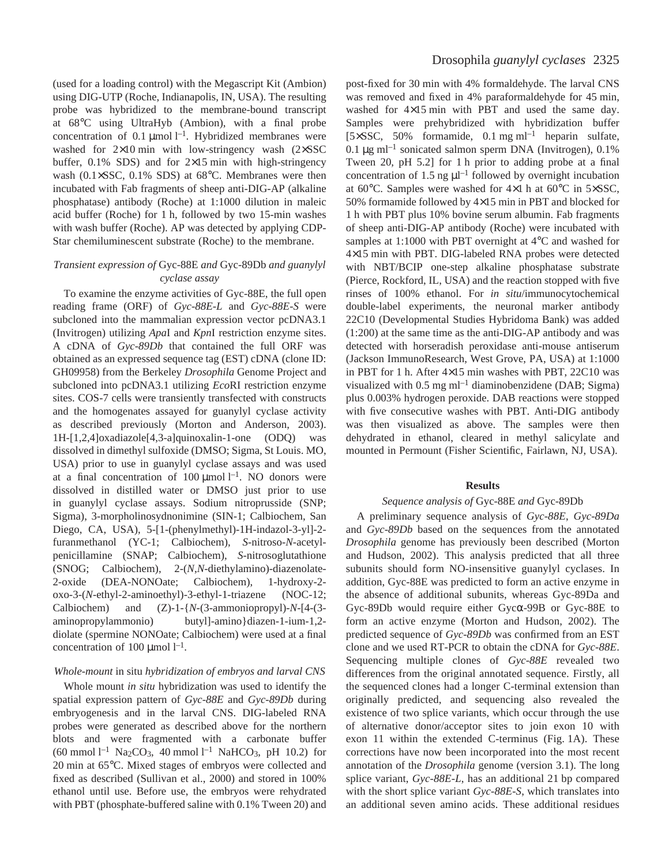(used for a loading control) with the Megascript Kit (Ambion) using DIG-UTP (Roche, Indianapolis, IN, USA). The resulting probe was hybridized to the membrane-bound transcript at 68°C using UltraHyb (Ambion), with a final probe concentration of 0.1  $\mu$ mol l<sup>-1</sup>. Hybridized membranes were washed for  $2\times10$  min with low-stringency wash ( $2\times$ SSC buffer,  $0.1\%$  SDS) and for  $2\times15$  min with high-stringency wash (0.1×SSC, 0.1% SDS) at 68°C. Membranes were then incubated with Fab fragments of sheep anti-DIG-AP (alkaline phosphatase) antibody (Roche) at 1:1000 dilution in maleic acid buffer (Roche) for 1 h, followed by two 15-min washes with wash buffer (Roche). AP was detected by applying CDP-Star chemiluminescent substrate (Roche) to the membrane.

### *Transient expression of* Gyc-88E *and* Gyc-89Db *and guanylyl cyclase assay*

To examine the enzyme activities of Gyc-88E, the full open reading frame (ORF) of *Gyc-88E-L* and *Gyc-88E-S* were subcloned into the mammalian expression vector pcDNA3.1 (Invitrogen) utilizing *Apa*I and *Kpn*I restriction enzyme sites. A cDNA of *Gyc-89Db* that contained the full ORF was obtained as an expressed sequence tag (EST) cDNA (clone ID: GH09958) from the Berkeley *Drosophila* Genome Project and subcloned into pcDNA3.1 utilizing *Eco*RI restriction enzyme sites. COS-7 cells were transiently transfected with constructs and the homogenates assayed for guanylyl cyclase activity as described previously (Morton and Anderson, 2003). 1H-[1,2,4]oxadiazole[4,3-a]quinoxalin-1-one (ODQ) was dissolved in dimethyl sulfoxide (DMSO; Sigma, St Louis. MO, USA) prior to use in guanylyl cyclase assays and was used at a final concentration of  $100 \mu$ mol l<sup>-1</sup>. NO donors were dissolved in distilled water or DMSO just prior to use in guanylyl cyclase assays. Sodium nitroprusside (SNP; Sigma), 3-morpholinosydnonimine (SIN-1; Calbiochem, San Diego, CA, USA), 5-[1-(phenylmethyl)-1H-indazol-3-yl]-2 furanmethanol (YC-1; Calbiochem), *S*-nitroso-*N*-acetylpenicillamine (SNAP; Calbiochem), *S*-nitrosoglutathione (SNOG; Calbiochem), 2-(*N*,*N*-diethylamino)-diazenolate-2-oxide (DEA-NONOate; Calbiochem), 1-hydroxy-2 oxo-3-(*N*-ethyl-2-aminoethyl)-3-ethyl-1-triazene (NOC-12; Calbiochem) and (Z)-1-{*N*-(3-ammoniopropyl)-*N*-[4-(3 aminopropylammonio) butyl]-amino}diazen-1-ium-1,2 diolate (spermine NONOate; Calbiochem) were used at a final concentration of 100  $\mu$ mol<sup>1-1</sup>.

### *Whole-mount* in situ *hybridization of embryos and larval CNS*

Whole mount *in situ* hybridization was used to identify the spatial expression pattern of *Gyc-88E* and *Gyc-89Db* during embryogenesis and in the larval CNS. DIG-labeled RNA probes were generated as described above for the northern blots and were fragmented with a carbonate buffer  $(60 \text{ mmol } l^{-1} \text{ Na}_2CO_3, 40 \text{ mmol } l^{-1} \text{ NaHCO}_3, pH 10.2)$  for  $20$  min at  $65^{\circ}$ C. Mixed stages of embryos were collected and fixed as described (Sullivan et al., 2000) and stored in 100% ethanol until use. Before use, the embryos were rehydrated with PBT (phosphate-buffered saline with 0.1% Tween 20) and

post-fixed for 30 min with 4% formaldehyde. The larval CNS was removed and fixed in 4% paraformaldehyde for 45 min, washed for  $4\times15$  min with PBT and used the same day. Samples were prehybridized with hybridization buffer [ $5 \times SSC$ , 50% formamide, 0.1 mg ml<sup>-1</sup> heparin sulfate, 0.1  $\mu$ g ml<sup>-1</sup> sonicated salmon sperm DNA (Invitrogen), 0.1% Tween 20, pH 5.2] for 1 h prior to adding probe at a final concentration of 1.5 ng  $\mu$ l<sup>-1</sup> followed by overnight incubation at 60 $\degree$ C. Samples were washed for 4×1 h at 60 $\degree$ C in 5×SSC, 50% formamide followed by  $4\times15$  min in PBT and blocked for 1 h with PBT plus 10% bovine serum albumin. Fab fragments of sheep anti-DIG-AP antibody (Roche) were incubated with samples at 1:1000 with PBT overnight at 4°C and washed for 4×15 min with PBT. DIG-labeled RNA probes were detected with NBT/BCIP one-step alkaline phosphatase substrate (Pierce, Rockford, IL, USA) and the reaction stopped with five rinses of 100% ethanol. For *in situ*/immunocytochemical double-label experiments, the neuronal marker antibody 22C10 (Developmental Studies Hybridoma Bank) was added (1:200) at the same time as the anti-DIG-AP antibody and was detected with horseradish peroxidase anti-mouse antiserum (Jackson ImmunoResearch, West Grove, PA, USA) at 1:1000 in PBT for 1 h. After  $4\times15$  min washes with PBT, 22C10 was visualized with  $0.5~\text{mg}$  ml<sup>-1</sup> diaminobenzidene (DAB; Sigma) plus 0.003% hydrogen peroxide. DAB reactions were stopped with five consecutive washes with PBT. Anti-DIG antibody was then visualized as above. The samples were then dehydrated in ethanol, cleared in methyl salicylate and mounted in Permount (Fisher Scientific, Fairlawn, NJ, USA).

#### **Results**

### *Sequence analysis of* Gyc-88E *and* Gyc-89Db

A preliminary sequence analysis of *Gyc-88E*, *Gyc-89Da* and *Gyc-89Db* based on the sequences from the annotated *Drosophila* genome has previously been described (Morton and Hudson, 2002). This analysis predicted that all three subunits should form NO-insensitive guanylyl cyclases. In addition, Gyc-88E was predicted to form an active enzyme in the absence of additional subunits, whereas Gyc-89Da and Gyc-89Db would require either Gycα-99B or Gyc-88E to form an active enzyme (Morton and Hudson, 2002). The predicted sequence of *Gyc-89Db* was confirmed from an EST clone and we used RT-PCR to obtain the cDNA for *Gyc-88E*. Sequencing multiple clones of *Gyc-88E* revealed two differences from the original annotated sequence. Firstly, all the sequenced clones had a longer C-terminal extension than originally predicted, and sequencing also revealed the existence of two splice variants, which occur through the use of alternative donor/acceptor sites to join exon 10 with exon 11 within the extended C-terminus (Fig. 1A). These corrections have now been incorporated into the most recent annotation of the *Drosophila* genome (version 3.1). The long splice variant, *Gyc-88E-L*, has an additional 21 bp compared with the short splice variant *Gyc-88E-S*, which translates into an additional seven amino acids. These additional residues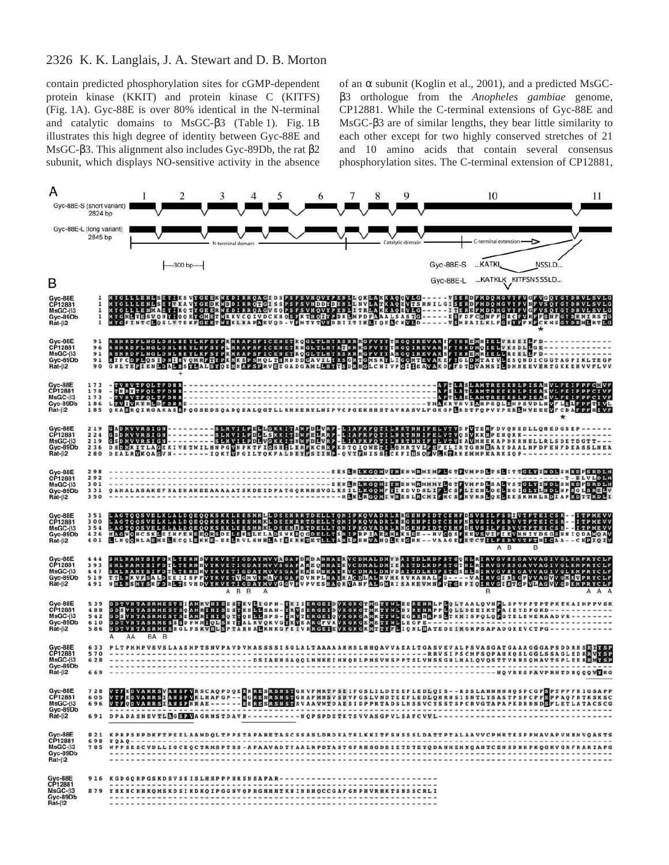contain predicted phosphorylation sites for cGMP-dependent protein kinase (KKIT) and protein kinase C (KITFS) (Fig. 1A). Gyc-88E is over 80% identical in the N-terminal and catalytic domains to MsGC-β3 (Table 1). Fig. 1B illustrates this high degree of identity between Gyc-88E and MsGC-β3. This alignment also includes Gyc-89Db, the rat β2 subunit, which displays NO-sensitive activity in the absence of an  $\alpha$  subunit (Koglin et al., 2001), and a predicted MsGCβ3 orthologue from the *Anopheles gambiae* genome, CP12881. While the C-terminal extensions of Gyc-88E and MsGC-β3 are of similar lengths, they bear little similarity to each other except for two highly conserved stretches of 21 and 10 amino acids that contain several consensus phosphorylation sites. The C-terminal extension of CP12881,

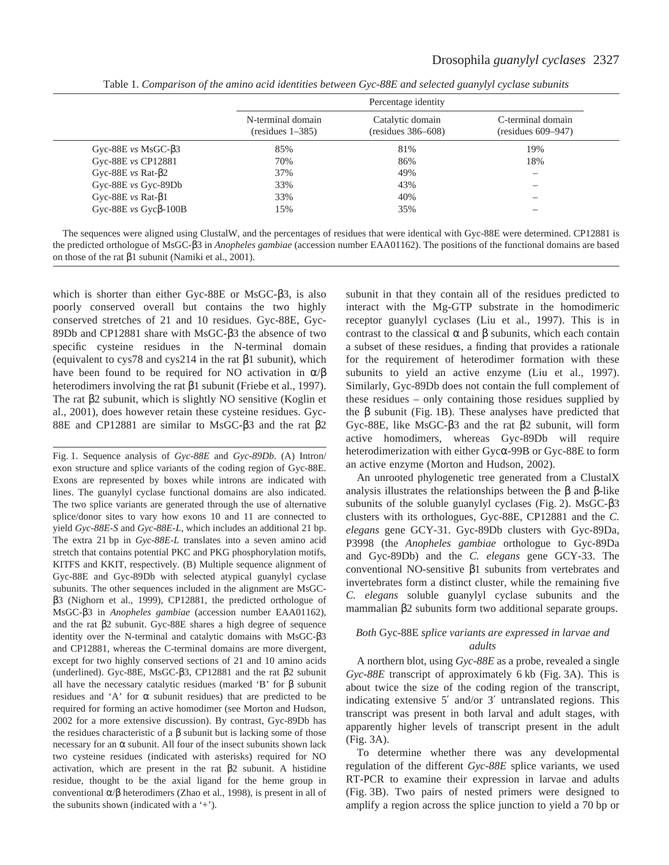|                                | Percentage identity                     |                                        |                                         |  |  |
|--------------------------------|-----------------------------------------|----------------------------------------|-----------------------------------------|--|--|
|                                | N-terminal domain<br>$(residues 1-385)$ | Catalytic domain<br>(residues 386–608) | C-terminal domain<br>(residues 609–947) |  |  |
| Gyc-88E $vs$ MsGC- $\beta$ 3   | 85%                                     | 81%                                    | 19%                                     |  |  |
| Gyc-88E vs CP12881             | 70%                                     | 86%                                    | 18%                                     |  |  |
| Gyc-88E $vs$ Rat- $\beta$ 2    | 37%                                     | 49%                                    | –                                       |  |  |
| Gyc-88E vs Gyc-89Db            | 33%                                     | 43%                                    |                                         |  |  |
| Gyc-88E $vs$ Rat- $\beta$ 1    | 33%                                     | 40%                                    |                                         |  |  |
| Gyc-88E $vs$ Gyc $\beta$ -100B | 15%                                     | 35%                                    |                                         |  |  |

Table 1. *Comparison of the amino acid identities between Gyc-88E and selected guanylyl cyclase subunits*

which is shorter than either Gyc-88E or MsGC-β3, is also poorly conserved overall but contains the two highly conserved stretches of 21 and 10 residues. Gyc-88E, Gyc-89Db and CP12881 share with MsGC-β3 the absence of two specific cysteine residues in the N-terminal domain (equivalent to cys78 and cys214 in the rat β1 subunit), which have been found to be required for NO activation in  $\alpha/\beta$ heterodimers involving the rat β1 subunit (Friebe et al., 1997). The rat β2 subunit, which is slightly NO sensitive (Koglin et al., 2001), does however retain these cysteine residues. Gyc-88E and CP12881 are similar to MsGC-β3 and the rat β2

Fig. 1. Sequence analysis of *Gyc-88E* and *Gyc-89Db*. (A) Intron/ exon structure and splice variants of the coding region of Gyc-88E. Exons are represented by boxes while introns are indicated with lines. The guanylyl cyclase functional domains are also indicated. The two splice variants are generated through the use of alternative splice/donor sites to vary how exons 10 and 11 are connected to yield *Gyc-88E-S* and *Gyc-88E-L*, which includes an additional 21 bp. The extra 21 bp in *Gyc-88E-L* translates into a seven amino acid stretch that contains potential PKC and PKG phosphorylation motifs, KITFS and KKIT, respectively. (B) Multiple sequence alignment of Gyc-88E and Gyc-89Db with selected atypical guanylyl cyclase subunits. The other sequences included in the alignment are MsGCβ3 (Nighorn et al., 1999), CP12881, the predicted orthologue of MsGC-β3 in *Anopheles gambiae* (accession number EAA01162), and the rat β2 subunit. Gyc-88E shares a high degree of sequence identity over the N-terminal and catalytic domains with MsGC-β3 and CP12881, whereas the C-terminal domains are more divergent, except for two highly conserved sections of 21 and 10 amino acids (underlined). Gyc-88E, MsGC-β3, CP12881 and the rat β2 subunit all have the necessary catalytic residues (marked 'B' for β subunit residues and 'A' for  $\alpha$  subunit residues) that are predicted to be required for forming an active homodimer (see Morton and Hudson, 2002 for a more extensive discussion). By contrast, Gyc-89Db has the residues characteristic of a β subunit but is lacking some of those necessary for an α subunit. All four of the insect subunits shown lack two cysteine residues (indicated with asterisks) required for NO activation, which are present in the rat β2 subunit. A histidine residue, thought to be the axial ligand for the heme group in conventional α/β heterodimers (Zhao et al., 1998), is present in all of the subunits shown (indicated with a '+').

subunit in that they contain all of the residues predicted to interact with the Mg-GTP substrate in the homodimeric receptor guanylyl cyclases (Liu et al., 1997). This is in contrast to the classical α and β subunits, which each contain a subset of these residues, a finding that provides a rationale for the requirement of heterodimer formation with these subunits to yield an active enzyme (Liu et al., 1997). Similarly, Gyc-89Db does not contain the full complement of these residues – only containing those residues supplied by the  $\beta$  subunit (Fig. 1B). These analyses have predicted that Gyc-88E, like MsGC-β3 and the rat β2 subunit, will form active homodimers, whereas Gyc-89Db will require heterodimerization with either Gycα-99B or Gyc-88E to form an active enzyme (Morton and Hudson, 2002).

An unrooted phylogenetic tree generated from a ClustalX analysis illustrates the relationships between the β and β-like subunits of the soluble guanylyl cyclases (Fig. 2). MsGC-β3 clusters with its orthologues, Gyc-88E, CP12881 and the *C. elegans* gene GCY-31. Gyc-89Db clusters with Gyc-89Da, P3998 (the *Anopheles gambiae* orthologue to Gyc-89Da and Gyc-89Db) and the *C. elegans* gene GCY-33. The conventional NO-sensitive β1 subunits from vertebrates and invertebrates form a distinct cluster, while the remaining five *C. elegans* soluble guanylyl cyclase subunits and the mammalian β2 subunits form two additional separate groups.

### *Both* Gyc-88E *splice variants are expressed in larvae and adults*

A northern blot, using *Gyc-88E* as a probe, revealed a single *Gyc-88E* transcript of approximately 6 kb (Fig. 3A). This is about twice the size of the coding region of the transcript, indicating extensive 5′ and/or 3′ untranslated regions. This transcript was present in both larval and adult stages, with apparently higher levels of transcript present in the adult  $(Fig. 3A)$ .

To determine whether there was any developmental regulation of the different *Gyc-88E* splice variants, we used RT-PCR to examine their expression in larvae and adults (Fig. 3B). Two pairs of nested primers were designed to amplify a region across the splice junction to yield a 70 bp or

The sequences were aligned using ClustalW, and the percentages of residues that were identical with Gyc-88E were determined. CP12881 is the predicted orthologue of MsGC-β3 in *Anopheles gambiae* (accession number EAA01162). The positions of the functional domains are based on those of the rat β1 subunit (Namiki et al., 2001).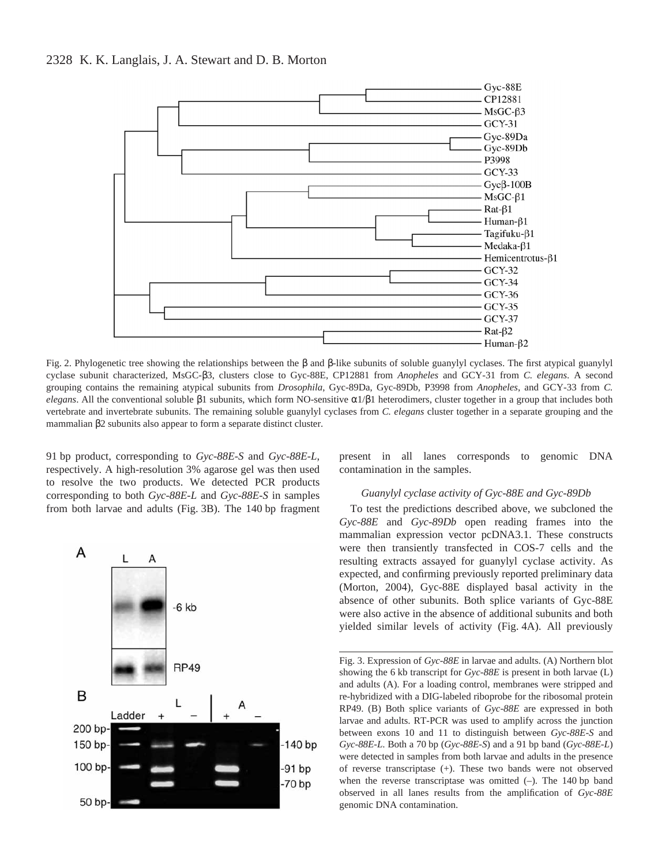

Fig. 2. Phylogenetic tree showing the relationships between the β and β-like subunits of soluble guanylyl cyclases. The first atypical guanylyl cyclase subunit characterized, MsGC-β3, clusters close to Gyc-88E, CP12881 from *Anopheles* and GCY-31 from *C. elegans*. A second grouping contains the remaining atypical subunits from *Drosophila*, Gyc-89Da, Gyc-89Db, P3998 from *Anopheles*, and GCY-33 from *C. elegans*. All the conventional soluble  $\beta$ 1 subunits, which form NO-sensitive  $\alpha$ 1/ $\beta$ 1 heterodimers, cluster together in a group that includes both vertebrate and invertebrate subunits. The remaining soluble guanylyl cyclases from *C. elegans* cluster together in a separate grouping and the mammalian β2 subunits also appear to form a separate distinct cluster.

91·bp product, corresponding to *Gyc-88E-S* and *Gyc-88E-L*, respectively. A high-resolution 3% agarose gel was then used to resolve the two products. We detected PCR products corresponding to both *Gyc-88E-L* and *Gyc-88E-S* in samples from both larvae and adults (Fig. 3B). The 140 bp fragment



present in all lanes corresponds to genomic DNA contamination in the samples.

### *Guanylyl cyclase activity of Gyc-88E and Gyc-89Db*

To test the predictions described above, we subcloned the *Gyc-88E* and *Gyc-89Db* open reading frames into the mammalian expression vector pcDNA3.1. These constructs were then transiently transfected in COS-7 cells and the resulting extracts assayed for guanylyl cyclase activity. As expected, and confirming previously reported preliminary data (Morton, 2004), Gyc-88E displayed basal activity in the absence of other subunits. Both splice variants of Gyc-88E were also active in the absence of additional subunits and both yielded similar levels of activity (Fig. 4A). All previously

Fig. 3. Expression of *Gyc-88E* in larvae and adults. (A) Northern blot showing the 6 kb transcript for *Gyc-88E* is present in both larvae (L) and adults (A). For a loading control, membranes were stripped and re-hybridized with a DIG-labeled riboprobe for the ribosomal protein RP49. (B) Both splice variants of *Gyc-88E* are expressed in both larvae and adults. RT-PCR was used to amplify across the junction between exons 10 and 11 to distinguish between *Gyc-88E-S* and *Gyc-88E-L*. Both a 70 bp (*Gyc-88E-S*) and a 91 bp band (*Gyc-88E-L*) were detected in samples from both larvae and adults in the presence of reverse transcriptase (+). These two bands were not observed when the reverse transcriptase was omitted  $(-)$ . The 140 bp band observed in all lanes results from the amplification of *Gyc-88E* genomic DNA contamination.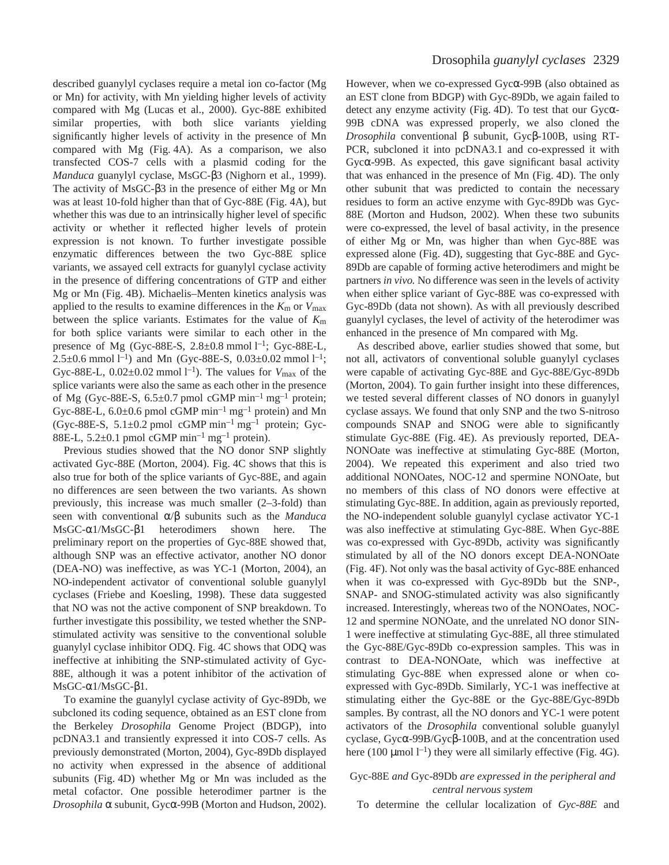described guanylyl cyclases require a metal ion co-factor (Mg or Mn) for activity, with Mn yielding higher levels of activity compared with Mg (Lucas et al., 2000). Gyc-88E exhibited similar properties, with both slice variants yielding significantly higher levels of activity in the presence of Mn compared with Mg (Fig. 4A). As a comparison, we also transfected COS-7 cells with a plasmid coding for the *Manduca* guanylyl cyclase, MsGC-β3 (Nighorn et al., 1999). The activity of MsGC-β3 in the presence of either Mg or Mn was at least 10-fold higher than that of Gyc-88E (Fig. 4A), but whether this was due to an intrinsically higher level of specific activity or whether it reflected higher levels of protein expression is not known. To further investigate possible enzymatic differences between the two Gyc-88E splice variants, we assayed cell extracts for guanylyl cyclase activity in the presence of differing concentrations of GTP and either Mg or Mn (Fig. 4B). Michaelis–Menten kinetics analysis was applied to the results to examine differences in the  $K<sub>m</sub>$  or  $V<sub>max</sub>$ between the splice variants. Estimates for the value of *K*m for both splice variants were similar to each other in the presence of Mg (Gyc-88E-S,  $2.8 \pm 0.8$  mmol  $1^{-1}$ ; Gyc-88E-L,  $2.5\pm0.6$  mmol  $l^{-1}$ ) and Mn (Gyc-88E-S,  $0.03\pm0.02$  mmol  $l^{-1}$ ; Gyc-88E-L,  $0.02 \pm 0.02$  mmol l<sup>-1</sup>). The values for  $V_{\text{max}}$  of the splice variants were also the same as each other in the presence of Mg (Gyc-88E-S, 6.5 $\pm$ 0.7 pmol cGMP min<sup>-1</sup> mg<sup>-1</sup> protein; Gyc-88E-L,  $6.0\pm0.6$  pmol cGMP min<sup>-1</sup> mg<sup>-1</sup> protein) and Mn (Gyc-88E-S,  $5.1\pm0.2$  pmol cGMP min<sup>-1</sup> mg<sup>-1</sup> protein; Gyc-88E-L,  $5.2\pm0.1$  pmol cGMP min<sup>-1</sup> mg<sup>-1</sup> protein).

Previous studies showed that the NO donor SNP slightly activated Gyc-88E (Morton, 2004). Fig. 4C shows that this is also true for both of the splice variants of Gyc-88E, and again no differences are seen between the two variants. As shown previously, this increase was much smaller (2–3-fold) than seen with conventional α/β subunits such as the *Manduca* MsGC-α1/MsGC-β1 heterodimers shown here. The preliminary report on the properties of Gyc-88E showed that, although SNP was an effective activator, another NO donor (DEA-NO) was ineffective, as was YC-1 (Morton, 2004), an NO-independent activator of conventional soluble guanylyl cyclases (Friebe and Koesling, 1998). These data suggested that NO was not the active component of SNP breakdown. To further investigate this possibility, we tested whether the SNPstimulated activity was sensitive to the conventional soluble guanylyl cyclase inhibitor ODQ. Fig. 4C shows that ODQ was ineffective at inhibiting the SNP-stimulated activity of Gyc-88E, although it was a potent inhibitor of the activation of  $MsGC-α1/MsGC-β1.$ 

To examine the guanylyl cyclase activity of Gyc-89Db, we subcloned its coding sequence, obtained as an EST clone from the Berkeley *Drosophila* Genome Project (BDGP), into pcDNA3.1 and transiently expressed it into COS-7 cells. As previously demonstrated (Morton, 2004), Gyc-89Db displayed no activity when expressed in the absence of additional subunits (Fig. 4D) whether Mg or Mn was included as the metal cofactor. One possible heterodimer partner is the *Drosophila* α subunit, Gycα-99B (Morton and Hudson, 2002).

However, when we co-expressed Gycα-99B (also obtained as an EST clone from BDGP) with Gyc-89Db, we again failed to detect any enzyme activity (Fig. 4D). To test that our Gyc $\alpha$ -99B cDNA was expressed properly, we also cloned the *Drosophila* conventional β subunit, Gycβ-100B, using RT-PCR, subcloned it into pcDNA3.1 and co-expressed it with Gycα-99B. As expected, this gave significant basal activity that was enhanced in the presence of Mn (Fig. 4D). The only other subunit that was predicted to contain the necessary residues to form an active enzyme with Gyc-89Db was Gyc-88E (Morton and Hudson, 2002). When these two subunits were co-expressed, the level of basal activity, in the presence of either Mg or Mn, was higher than when Gyc-88E was expressed alone (Fig. 4D), suggesting that Gyc-88E and Gyc-89Db are capable of forming active heterodimers and might be partners *in vivo.* No difference was seen in the levels of activity when either splice variant of Gyc-88E was co-expressed with Gyc-89Db (data not shown). As with all previously described guanylyl cyclases, the level of activity of the heterodimer was enhanced in the presence of Mn compared with Mg.

As described above, earlier studies showed that some, but not all, activators of conventional soluble guanylyl cyclases were capable of activating Gyc-88E and Gyc-88E/Gyc-89Db (Morton, 2004). To gain further insight into these differences, we tested several different classes of NO donors in guanylyl cyclase assays. We found that only SNP and the two S-nitroso compounds SNAP and SNOG were able to significantly stimulate Gyc-88E (Fig. 4E). As previously reported, DEA-NONOate was ineffective at stimulating Gyc-88E (Morton, 2004). We repeated this experiment and also tried two additional NONOates, NOC-12 and spermine NONOate, but no members of this class of NO donors were effective at stimulating Gyc-88E. In addition, again as previously reported, the NO-independent soluble guanylyl cyclase activator YC-1 was also ineffective at stimulating Gyc-88E. When Gyc-88E was co-expressed with Gyc-89Db, activity was significantly stimulated by all of the NO donors except DEA-NONOate (Fig. 4F). Not only was the basal activity of Gyc-88E enhanced when it was co-expressed with Gyc-89Db but the SNP-, SNAP- and SNOG-stimulated activity was also significantly increased. Interestingly, whereas two of the NONOates, NOC-12 and spermine NONOate, and the unrelated NO donor SIN-1 were ineffective at stimulating Gyc-88E, all three stimulated the Gyc-88E/Gyc-89Db co-expression samples. This was in contrast to DEA-NONOate, which was ineffective at stimulating Gyc-88E when expressed alone or when coexpressed with Gyc-89Db. Similarly, YC-1 was ineffective at stimulating either the Gyc-88E or the Gyc-88E/Gyc-89Db samples. By contrast, all the NO donors and YC-1 were potent activators of the *Drosophila* conventional soluble guanylyl cyclase, Gycα-99B/Gycβ-100B, and at the concentration used here (100  $\mu$ mol l<sup>-1</sup>) they were all similarly effective (Fig. 4G).

### Gyc-88E *and* Gyc-89Db *are expressed in the peripheral and central nervous system*

To determine the cellular localization of *Gyc-88E* and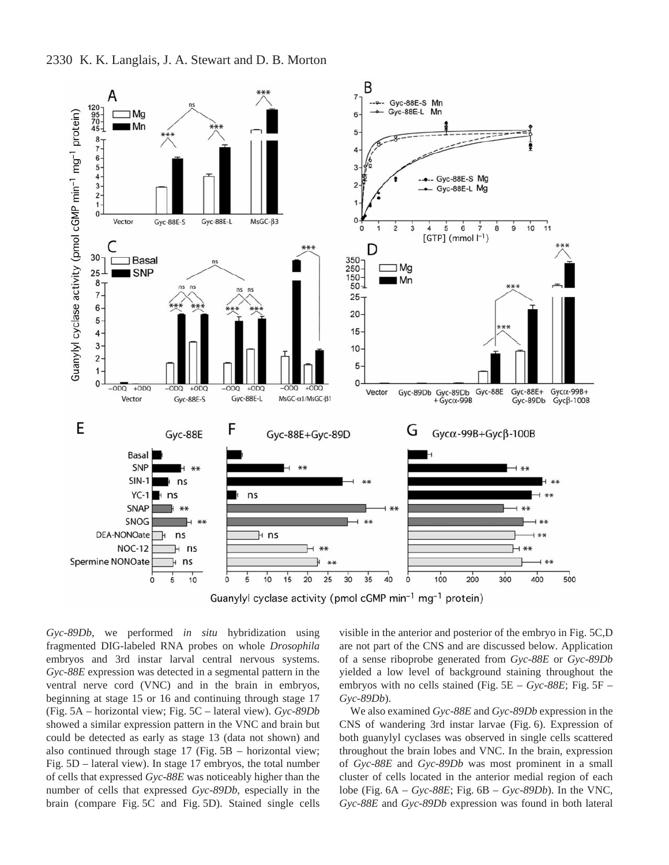

*Gyc-89Db*, we performed *in situ* hybridization using fragmented DIG-labeled RNA probes on whole *Drosophila* embryos and 3rd instar larval central nervous systems. *Gyc-88E* expression was detected in a segmental pattern in the ventral nerve cord (VNC) and in the brain in embryos, beginning at stage 15 or 16 and continuing through stage 17 (Fig. 5A – horizontal view; Fig. 5C – lateral view). *Gyc-89Db* showed a similar expression pattern in the VNC and brain but could be detected as early as stage 13 (data not shown) and also continued through stage  $17$  (Fig.  $5B$  – horizontal view; Fig.  $5D$  – lateral view). In stage 17 embryos, the total number of cells that expressed *Gyc-88E* was noticeably higher than the number of cells that expressed *Gyc-89Db*, especially in the brain (compare Fig. 5C and Fig. 5D). Stained single cells

visible in the anterior and posterior of the embryo in Fig. 5C,D are not part of the CNS and are discussed below. Application of a sense riboprobe generated from *Gyc-88E* or *Gyc-89Db* yielded a low level of background staining throughout the embryos with no cells stained (Fig.  $5E - Gyc-88E$ ; Fig.  $5F -$ *Gyc-89Db*).

We also examined *Gyc-88E* and *Gyc-89Db* expression in the CNS of wandering 3rd instar larvae (Fig. 6). Expression of both guanylyl cyclases was observed in single cells scattered throughout the brain lobes and VNC. In the brain, expression of *Gyc-88E* and *Gyc-89Db* was most prominent in a small cluster of cells located in the anterior medial region of each lobe (Fig.  $6A - Gyc-88E$ ; Fig.  $6B - Gyc-89Db$ ). In the VNC, *Gyc-88E* and *Gyc-89Db* expression was found in both lateral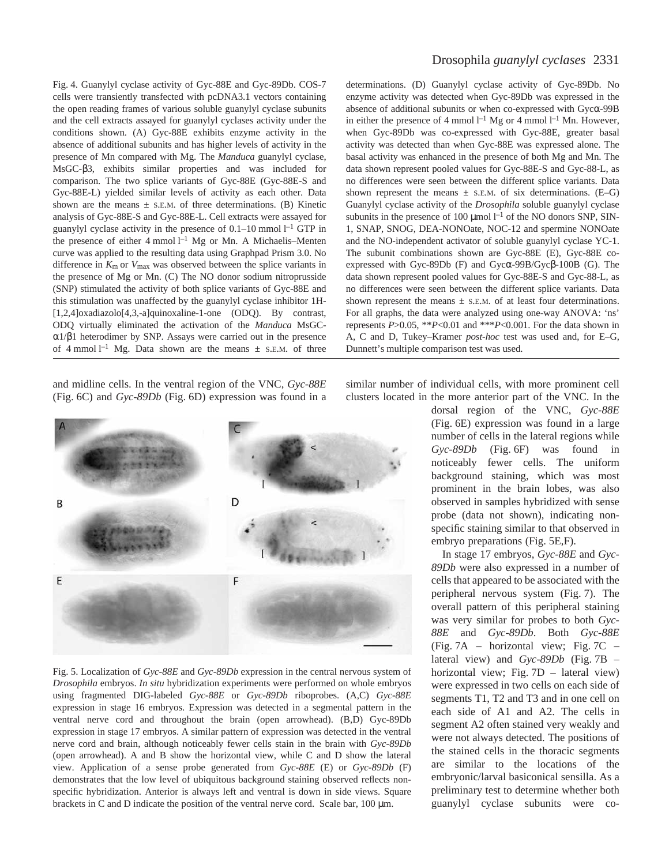Fig. 4. Guanylyl cyclase activity of Gyc-88E and Gyc-89Db. COS-7 cells were transiently transfected with pcDNA3.1 vectors containing the open reading frames of various soluble guanylyl cyclase subunits and the cell extracts assayed for guanylyl cyclases activity under the conditions shown. (A) Gyc-88E exhibits enzyme activity in the absence of additional subunits and has higher levels of activity in the presence of Mn compared with Mg. The *Manduca* guanylyl cyclase, MsGC-β3, exhibits similar properties and was included for comparison. The two splice variants of Gyc-88E (Gyc-88E-S and Gyc-88E-L) yielded similar levels of activity as each other. Data shown are the means  $\pm$  S.E.M. of three determinations. (B) Kinetic analysis of Gyc-88E-S and Gyc-88E-L. Cell extracts were assayed for guanylyl cyclase activity in the presence of  $0.1-10$  mmol  $l<sup>-1</sup>$  GTP in the presence of either  $4 \text{ mmol } l^{-1}$  Mg or Mn. A Michaelis-Menten curve was applied to the resulting data using Graphpad Prism 3.0. No difference in *K*m or *V*max was observed between the splice variants in the presence of Mg or Mn. (C) The NO donor sodium nitroprusside (SNP) stimulated the activity of both splice variants of Gyc-88E and this stimulation was unaffected by the guanylyl cyclase inhibitor 1H- [1,2,4]oxadiazolo[4,3,-a]quinoxaline-1-one (ODQ). By contrast, ODQ virtually eliminated the activation of the *Manduca* MsGCα1/β1 heterodimer by SNP. Assays were carried out in the presence of 4 mmol<sup>1-1</sup> Mg. Data shown are the means  $\pm$  s.E.M. of three

and midline cells. In the ventral region of the VNC, *Gyc-88E* (Fig. 6C) and *Gyc-89Db* (Fig. 6D) expression was found in a



Fig. 5. Localization of *Gyc-88E* and *Gyc-89Db* expression in the central nervous system of *Drosophila* embryos. *In situ* hybridization experiments were performed on whole embryos using fragmented DIG-labeled *Gyc-88E* or *Gyc-89Db* riboprobes. (A,C) *Gyc-88E* expression in stage 16 embryos. Expression was detected in a segmental pattern in the ventral nerve cord and throughout the brain (open arrowhead). (B,D) Gyc-89Db expression in stage 17 embryos. A similar pattern of expression was detected in the ventral nerve cord and brain, although noticeably fewer cells stain in the brain with *Gyc-89Db* (open arrowhead). A and B show the horizontal view, while C and D show the lateral view. Application of a sense probe generated from *Gyc-88E* (E) or *Gyc-89Db* (F) demonstrates that the low level of ubiquitous background staining observed reflects nonspecific hybridization. Anterior is always left and ventral is down in side views. Square brackets in C and D indicate the position of the ventral nerve cord. Scale bar,  $100 \mu m$ .

### Drosophila *guanylyl cyclases* 2331

determinations. (D) Guanylyl cyclase activity of Gyc-89Db. No enzyme activity was detected when Gyc-89Db was expressed in the absence of additional subunits or when co-expressed with Gycα-99B in either the presence of 4 mmol  $l^{-1}$  Mg or 4 mmol  $l^{-1}$  Mn. However, when Gyc-89Db was co-expressed with Gyc-88E, greater basal activity was detected than when Gyc-88E was expressed alone. The basal activity was enhanced in the presence of both Mg and Mn. The data shown represent pooled values for Gyc-88E-S and Gyc-88-L, as no differences were seen between the different splice variants. Data shown represent the means  $\pm$  s.e.m. of six determinations. (E–G) Guanylyl cyclase activity of the *Drosophila* soluble guanylyl cyclase subunits in the presence of 100  $\mu$ mol  $l^{-1}$  of the NO donors SNP, SIN-1, SNAP, SNOG, DEA-NONOate, NOC-12 and spermine NONOate and the NO-independent activator of soluble guanylyl cyclase YC-1. The subunit combinations shown are Gyc-88E (E), Gyc-88E coexpressed with Gyc-89Db (F) and Gycα-99B/Gycβ-100B (G). The data shown represent pooled values for Gyc-88E-S and Gyc-88-L, as no differences were seen between the different splice variants. Data shown represent the means  $\pm$  s.E.M. of at least four determinations. For all graphs, the data were analyzed using one-way ANOVA: 'ns' represents *P*>0.05, \*\**P*<0.01 and \*\*\**P*<0.001. For the data shown in A, C and D, Tukey–Kramer *post-hoc* test was used and, for E–G, Dunnett's multiple comparison test was used.

similar number of individual cells, with more prominent cell clusters located in the more anterior part of the VNC. In the

dorsal region of the VNC, *Gyc-88E* (Fig. 6E) expression was found in a large number of cells in the lateral regions while *Gyc-89Db* (Fig. 6F) was found in noticeably fewer cells. The uniform background staining, which was most prominent in the brain lobes, was also observed in samples hybridized with sense probe (data not shown), indicating nonspecific staining similar to that observed in embryo preparations (Fig. 5E,F).

In stage 17 embryos, *Gyc-88E* and *Gyc-89Db* were also expressed in a number of cells that appeared to be associated with the peripheral nervous system (Fig. 7). The overall pattern of this peripheral staining was very similar for probes to both *Gyc-88E* and *Gyc-89Db*. Both *Gyc-88E* (Fig. 7A – horizontal view; Fig. 7C – lateral view) and *Gyc-89Db* (Fig. 7B – horizontal view; Fig.  $7D -$  lateral view) were expressed in two cells on each side of segments T1, T2 and T3 and in one cell on each side of A1 and A2. The cells in segment A2 often stained very weakly and were not always detected. The positions of the stained cells in the thoracic segments are similar to the locations of the embryonic/larval basiconical sensilla. As a preliminary test to determine whether both guanylyl cyclase subunits were co-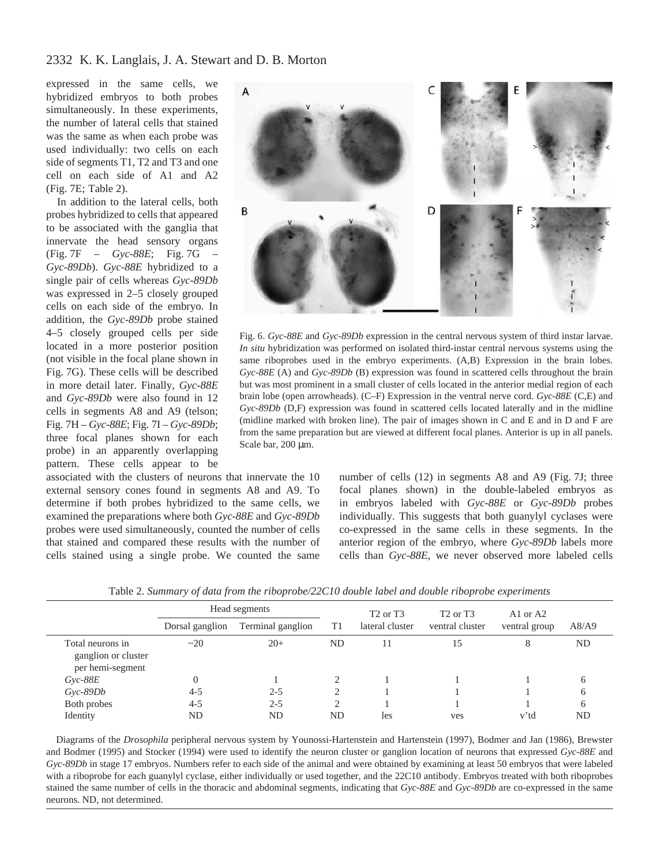expressed in the same cells, we hybridized embryos to both probes simultaneously. In these experiments, the number of lateral cells that stained was the same as when each probe was used individually: two cells on each side of segments T1, T2 and T3 and one cell on each side of A1 and A2  $(Fig. 7E; Table 2).$ 

In addition to the lateral cells, both probes hybridized to cells that appeared to be associated with the ganglia that innervate the head sensory organs (Fig. 7F – *Gyc-88E*; Fig. 7G – *Gyc-89Db*). *Gyc-88E* hybridized to a single pair of cells whereas *Gyc-89Db* was expressed in 2–5 closely grouped cells on each side of the embryo. In addition, the *Gyc-89Db* probe stained 4–5 closely grouped cells per side located in a more posterior position (not visible in the focal plane shown in Fig. 7G). These cells will be described in more detail later. Finally, *Gyc-88E* and *Gyc-89Db* were also found in 12 cells in segments A8 and A9 (telson; Fig. 7H – *Gyc-88E*; Fig. 7I – *Gyc-89Db*; three focal planes shown for each probe) in an apparently overlapping pattern. These cells appear to be

associated with the clusters of neurons that innervate the 10 external sensory cones found in segments A8 and A9. To determine if both probes hybridized to the same cells, we examined the preparations where both *Gyc-88E* and *Gyc-89Db* probes were used simultaneously, counted the number of cells that stained and compared these results with the number of cells stained using a single probe. We counted the same



Fig. 6. *Gyc-88E* and *Gyc-89Db* expression in the central nervous system of third instar larvae. *In situ* hybridization was performed on isolated third-instar central nervous systems using the same riboprobes used in the embryo experiments. (A,B) Expression in the brain lobes. *Gyc-88E* (A) and *Gyc-89Db* (B) expression was found in scattered cells throughout the brain but was most prominent in a small cluster of cells located in the anterior medial region of each brain lobe (open arrowheads). (C–F) Expression in the ventral nerve cord. *Gyc-88E* (C,E) and *Gyc-89Db* (D,F) expression was found in scattered cells located laterally and in the midline (midline marked with broken line). The pair of images shown in C and E and in D and F are from the same preparation but are viewed at different focal planes. Anterior is up in all panels. Scale bar,  $200 \mu m$ .

number of cells  $(12)$  in segments A8 and A9 (Fig. 7J; three focal planes shown) in the double-labeled embryos as in embryos labeled with *Gyc-88E* or *Gyc-89Db* probes individually. This suggests that both guanylyl cyclases were co-expressed in the same cells in these segments. In the anterior region of the embryo, where *Gyc-89Db* labels more cells than *Gyc-88E*, we never observed more labeled cells

|                                                             | Head segments   |                   |                | T <sub>2</sub> or T <sub>3</sub> | T <sub>2</sub> or T <sub>3</sub> | A1 or A2      |       |
|-------------------------------------------------------------|-----------------|-------------------|----------------|----------------------------------|----------------------------------|---------------|-------|
|                                                             | Dorsal ganglion | Terminal ganglion | T <sub>1</sub> | lateral cluster                  | ventral cluster                  | ventral group | A8/A9 |
| Total neurons in<br>ganglion or cluster<br>per hemi-segment | $\sim$ 20       | $20+$             | ND             | 11                               | 15                               | 8             | ND    |
| $Gyc-88E$                                                   |                 |                   | 2              |                                  |                                  |               | h     |
| $Gyc-89Db$                                                  | $4 - 5$         | $2 - 5$           | 2              |                                  |                                  |               | h     |
| Both probes                                                 | $4 - 5$         | $2 - 5$           | $\overline{2}$ |                                  |                                  |               | h     |
| Identity                                                    | <b>ND</b>       | ND                | <b>ND</b>      | les                              | ves                              | v'td          | ND    |

Table 2. *Summary of data from the riboprobe/22C10 double label and double riboprobe experiments*

Diagrams of the *Drosophila* peripheral nervous system by Younossi-Hartenstein and Hartenstein (1997), Bodmer and Jan (1986), Brewster and Bodmer (1995) and Stocker (1994) were used to identify the neuron cluster or ganglion location of neurons that expressed *Gyc-88E* and *Gyc-89Db* in stage 17 embryos. Numbers refer to each side of the animal and were obtained by examining at least 50 embryos that were labeled with a riboprobe for each guanylyl cyclase, either individually or used together, and the 22C10 antibody. Embryos treated with both riboprobes stained the same number of cells in the thoracic and abdominal segments, indicating that *Gyc-88E* and *Gyc-89Db* are co-expressed in the same neurons. ND, not determined.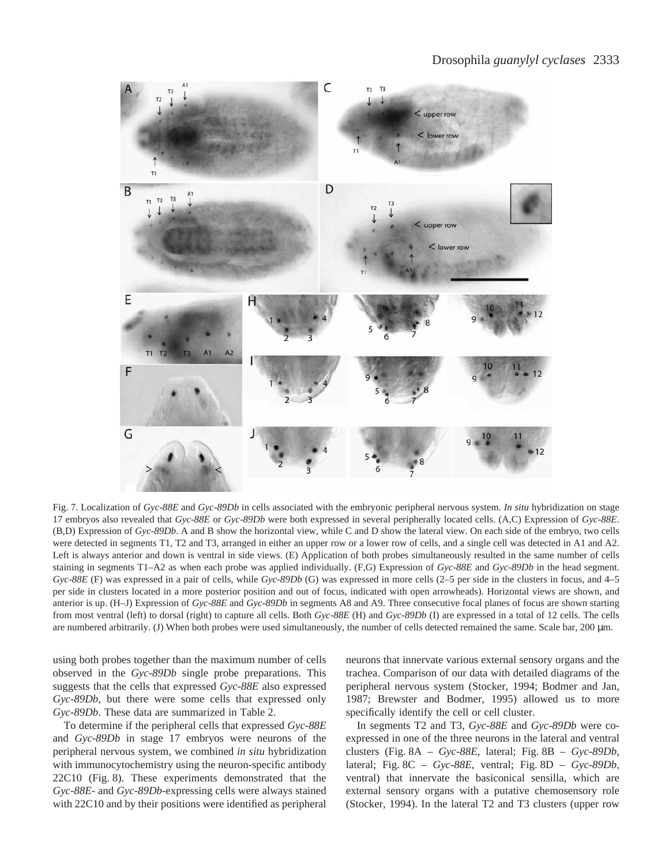

Fig. 7. Localization of *Gyc-88E* and *Gyc-89Db* in cells associated with the embryonic peripheral nervous system. *In situ* hybridization on stage 17 embryos also revealed that *Gyc-88E* or *Gyc-89Db* were both expressed in several peripherally located cells. (A,C) Expression of *Gyc-88E*. (B,D) Expression of *Gyc-89Db*. A and B show the horizontal view, while C and D show the lateral view. On each side of the embryo, two cells were detected in segments T1, T2 and T3, arranged in either an upper row or a lower row of cells, and a single cell was detected in A1 and A2. Left is always anterior and down is ventral in side views. (E) Application of both probes simultaneously resulted in the same number of cells staining in segments T1–A2 as when each probe was applied individually. (F,G) Expression of *Gyc-88E* and *Gyc-89Db* in the head segment. *Gyc-88E* (F) was expressed in a pair of cells, while *Gyc-89Db* (G) was expressed in more cells (2–5 per side in the clusters in focus, and 4–5 per side in clusters located in a more posterior position and out of focus, indicated with open arrowheads). Horizontal views are shown, and anterior is up. (H–J) Expression of *Gyc-88E* and *Gyc-89Db* in segments A8 and A9. Three consecutive focal planes of focus are shown starting from most ventral (left) to dorsal (right) to capture all cells. Both *Gyc-88E* (H) and *Gyc-89Db* (I) are expressed in a total of 12 cells. The cells are numbered arbitrarily. (J) When both probes were used simultaneously, the number of cells detected remained the same. Scale bar, 200  $\mu$ m.

using both probes together than the maximum number of cells observed in the *Gyc-89Db* single probe preparations. This suggests that the cells that expressed *Gyc-88E* also expressed *Gyc-89Db*, but there were some cells that expressed only *Gyc-89Db*. These data are summarized in Table 2.

To determine if the peripheral cells that expressed *Gyc-88E* and *Gyc-89Db* in stage 17 embryos were neurons of the peripheral nervous system, we combined *in situ* hybridization with immunocytochemistry using the neuron-specific antibody  $22C10$  (Fig. 8). These experiments demonstrated that the *Gyc-88E*- and *Gyc-89Db*-expressing cells were always stained with 22C10 and by their positions were identified as peripheral

neurons that innervate various external sensory organs and the trachea. Comparison of our data with detailed diagrams of the peripheral nervous system (Stocker, 1994; Bodmer and Jan, 1987; Brewster and Bodmer, 1995) allowed us to more specifically identify the cell or cell cluster.

In segments T2 and T3, *Gyc-88E* and *Gyc-89Db* were coexpressed in one of the three neurons in the lateral and ventral clusters (Fig.  $8A - Gyc-88E$ , lateral; Fig.  $8B - Gyc-89Db$ , lateral; Fig.  $8C - Gyc-88E$ , ventral; Fig.  $8D - Gyc-89Db$ , ventral) that innervate the basiconical sensilla, which are external sensory organs with a putative chemosensory role (Stocker, 1994). In the lateral T2 and T3 clusters (upper row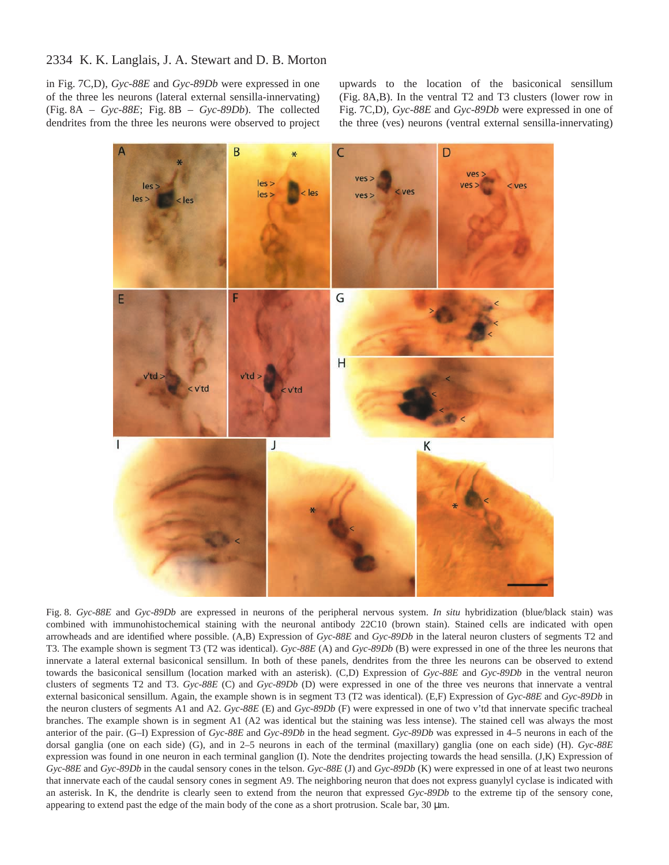in Fig. 7C,D), *Gyc-88E* and *Gyc-89Db* were expressed in one of the three les neurons (lateral external sensilla-innervating) (Fig. 8A – *Gyc-88E*; Fig. 8B – *Gyc-89Db*). The collected dendrites from the three les neurons were observed to project upwards to the location of the basiconical sensillum (Fig. 8A,B). In the ventral T2 and T3 clusters (lower row in Fig. 7C,D), *Gyc-88E* and *Gyc-89Db* were expressed in one of the three (ves) neurons (ventral external sensilla-innervating)



Fig. 8. *Gyc-88E* and *Gyc-89Db* are expressed in neurons of the peripheral nervous system. *In situ* hybridization (blue/black stain) was combined with immunohistochemical staining with the neuronal antibody 22C10 (brown stain). Stained cells are indicated with open arrowheads and are identified where possible. (A,B) Expression of *Gyc-88E* and *Gyc-89Db* in the lateral neuron clusters of segments T2 and T3. The example shown is segment T3 (T2 was identical). *Gyc-88E* (A) and *Gyc-89Db* (B) were expressed in one of the three les neurons that innervate a lateral external basiconical sensillum. In both of these panels, dendrites from the three les neurons can be observed to extend towards the basiconical sensillum (location marked with an asterisk). (C,D) Expression of *Gyc-88E* and *Gyc-89Db* in the ventral neuron clusters of segments T2 and T3. *Gyc-88E* (C) and *Gyc-89Db* (D) were expressed in one of the three ves neurons that innervate a ventral external basiconical sensillum. Again, the example shown is in segment T3 (T2 was identical). (E,F) Expression of *Gyc-88E* and *Gyc-89Db* in the neuron clusters of segments A1 and A2. *Gyc-88E* (E) and *Gyc-89Db* (F) were expressed in one of two v'td that innervate specific tracheal branches. The example shown is in segment A1 (A2 was identical but the staining was less intense). The stained cell was always the most anterior of the pair. (G–I) Expression of *Gyc-88E* and *Gyc-89Db* in the head segment. *Gyc-89Db* was expressed in 4–5 neurons in each of the dorsal ganglia (one on each side) (G), and in 2–5 neurons in each of the terminal (maxillary) ganglia (one on each side) (H). *Gyc-88E* expression was found in one neuron in each terminal ganglion (I). Note the dendrites projecting towards the head sensilla. (J,K) Expression of *Gyc-88E* and *Gyc-89Db* in the caudal sensory cones in the telson. *Gyc-88E* (J) and *Gyc-89Db* (K) were expressed in one of at least two neurons that innervate each of the caudal sensory cones in segment A9. The neighboring neuron that does not express guanylyl cyclase is indicated with an asterisk. In K, the dendrite is clearly seen to extend from the neuron that expressed *Gyc-89Db* to the extreme tip of the sensory cone, appearing to extend past the edge of the main body of the cone as a short protrusion. Scale bar,  $30 \mu m$ .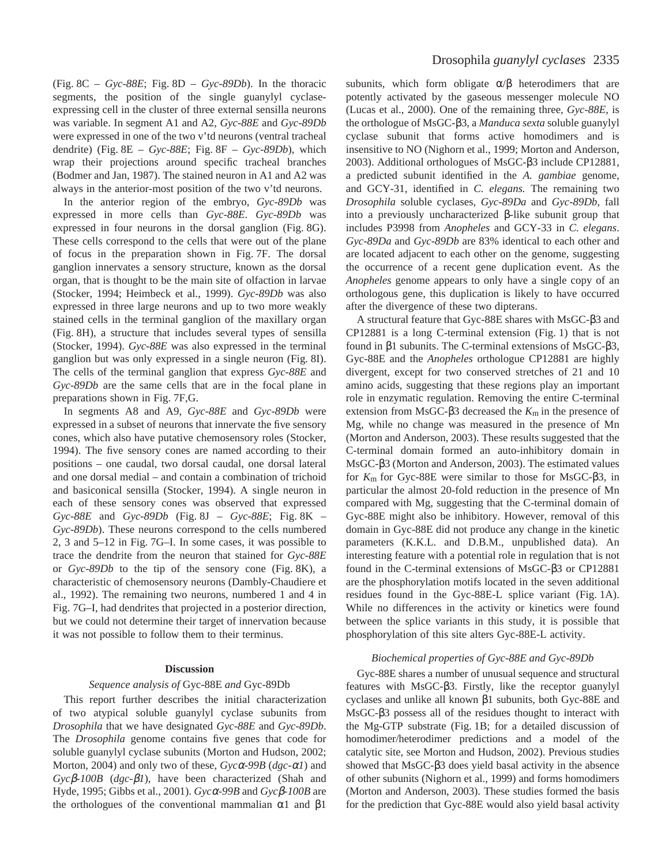(Fig.  $8C - Gyc-88E$ ; Fig.  $8D - Gyc-89Db$ ). In the thoracic segments, the position of the single guanylyl cyclaseexpressing cell in the cluster of three external sensilla neurons was variable. In segment A1 and A2, *Gyc-88E* and *Gyc-89Db* were expressed in one of the two v'td neurons (ventral tracheal dendrite) (Fig. 8E – *Gyc-88E*; Fig. 8F – *Gyc-89Db*), which wrap their projections around specific tracheal branches (Bodmer and Jan, 1987). The stained neuron in A1 and A2 was always in the anterior-most position of the two v'td neurons.

In the anterior region of the embryo, *Gyc-89Db* was expressed in more cells than *Gyc-88E*. *Gyc-89Db* was expressed in four neurons in the dorsal ganglion (Fig. 8G). These cells correspond to the cells that were out of the plane of focus in the preparation shown in Fig. 7F. The dorsal ganglion innervates a sensory structure, known as the dorsal organ, that is thought to be the main site of olfaction in larvae (Stocker, 1994; Heimbeck et al., 1999). *Gyc-89Db* was also expressed in three large neurons and up to two more weakly stained cells in the terminal ganglion of the maxillary organ (Fig. 8H), a structure that includes several types of sensilla (Stocker, 1994). *Gyc-88E* was also expressed in the terminal ganglion but was only expressed in a single neuron (Fig. 8I). The cells of the terminal ganglion that express *Gyc-88E* and *Gyc-89Db* are the same cells that are in the focal plane in preparations shown in Fig. 7F, G.

In segments A8 and A9, *Gyc-88E* and *Gyc-89Db* were expressed in a subset of neurons that innervate the five sensory cones, which also have putative chemosensory roles (Stocker, 1994). The five sensory cones are named according to their positions – one caudal, two dorsal caudal, one dorsal lateral and one dorsal medial – and contain a combination of trichoid and basiconical sensilla (Stocker, 1994). A single neuron in each of these sensory cones was observed that expressed *Gyc-88E* and *Gyc-89Db* (Fig. 8J – *Gyc-88E*; Fig. 8K – *Gyc-89Db*). These neurons correspond to the cells numbered 2, 3 and 5–12 in Fig. 7G–I. In some cases, it was possible to trace the dendrite from the neuron that stained for *Gyc-88E* or *Gyc-89Db* to the tip of the sensory cone (Fig. 8K), a characteristic of chemosensory neurons (Dambly-Chaudiere et al., 1992). The remaining two neurons, numbered 1 and 4 in Fig. 7G–I, had dendrites that projected in a posterior direction, but we could not determine their target of innervation because it was not possible to follow them to their terminus.

### **Discussion**

### *Sequence analysis of* Gyc-88E *and* Gyc-89Db

This report further describes the initial characterization of two atypical soluble guanylyl cyclase subunits from *Drosophila* that we have designated *Gyc-88E* and *Gyc-89Db*. The *Drosophila* genome contains five genes that code for soluble guanylyl cyclase subunits (Morton and Hudson, 2002; Morton, 2004) and only two of these, *Gyc*α*-99B* (*dgc-*α*1*) and *Gyc*β*-100B* (*dgc-*β*1*), have been characterized (Shah and Hyde, 1995; Gibbs et al., 2001). *Gyc*α*-99B* and *Gyc*β*-100B* are the orthologues of the conventional mammalian  $α1$  and  $β1$ 

subunits, which form obligate  $\alpha/\beta$  heterodimers that are potently activated by the gaseous messenger molecule NO (Lucas et al., 2000). One of the remaining three, *Gyc-88E*, is the orthologue of MsGC-β3, a *Manduca sexta* soluble guanylyl cyclase subunit that forms active homodimers and is insensitive to NO (Nighorn et al., 1999; Morton and Anderson, 2003). Additional orthologues of MsGC-β3 include CP12881, a predicted subunit identified in the *A. gambiae* genome, and GCY-31, identified in *C. elegans.* The remaining two *Drosophila* soluble cyclases, *Gyc-89Da* and *Gyc-89Db*, fall into a previously uncharacterized β-like subunit group that includes P3998 from *Anopheles* and GCY-33 in *C. elegans*. *Gyc-89Da* and *Gyc-89Db* are 83% identical to each other and are located adjacent to each other on the genome, suggesting the occurrence of a recent gene duplication event. As the *Anopheles* genome appears to only have a single copy of an orthologous gene, this duplication is likely to have occurred after the divergence of these two dipterans.

A structural feature that Gyc-88E shares with MsGC-β3 and  $CP12881$  is a long C-terminal extension (Fig. 1) that is not found in β1 subunits. The C-terminal extensions of MsGC-β3, Gyc-88E and the *Anopheles* orthologue CP12881 are highly divergent, except for two conserved stretches of 21 and 10 amino acids, suggesting that these regions play an important role in enzymatic regulation. Removing the entire C-terminal extension from MsGC-β3 decreased the *K*m in the presence of Mg, while no change was measured in the presence of Mn (Morton and Anderson, 2003). These results suggested that the C-terminal domain formed an auto-inhibitory domain in MsGC-β3 (Morton and Anderson, 2003). The estimated values for *K*m for Gyc-88E were similar to those for MsGC-β3, in particular the almost 20-fold reduction in the presence of Mn compared with Mg, suggesting that the C-terminal domain of Gyc-88E might also be inhibitory. However, removal of this domain in Gyc-88E did not produce any change in the kinetic parameters (K.K.L. and D.B.M., unpublished data). An interesting feature with a potential role in regulation that is not found in the C-terminal extensions of MsGC-β3 or CP12881 are the phosphorylation motifs located in the seven additional residues found in the Gyc-88E-L splice variant (Fig. 1A). While no differences in the activity or kinetics were found between the splice variants in this study, it is possible that phosphorylation of this site alters Gyc-88E-L activity.

#### *Biochemical properties of Gyc-88E and Gyc-89Db*

Gyc-88E shares a number of unusual sequence and structural features with MsGC-β3. Firstly, like the receptor guanylyl cyclases and unlike all known β1 subunits, both Gyc-88E and MsGC-β3 possess all of the residues thought to interact with the Mg-GTP substrate (Fig. 1B; for a detailed discussion of homodimer/heterodimer predictions and a model of the catalytic site, see Morton and Hudson, 2002). Previous studies showed that MsGC-β3 does yield basal activity in the absence of other subunits (Nighorn et al., 1999) and forms homodimers (Morton and Anderson, 2003). These studies formed the basis for the prediction that Gyc-88E would also yield basal activity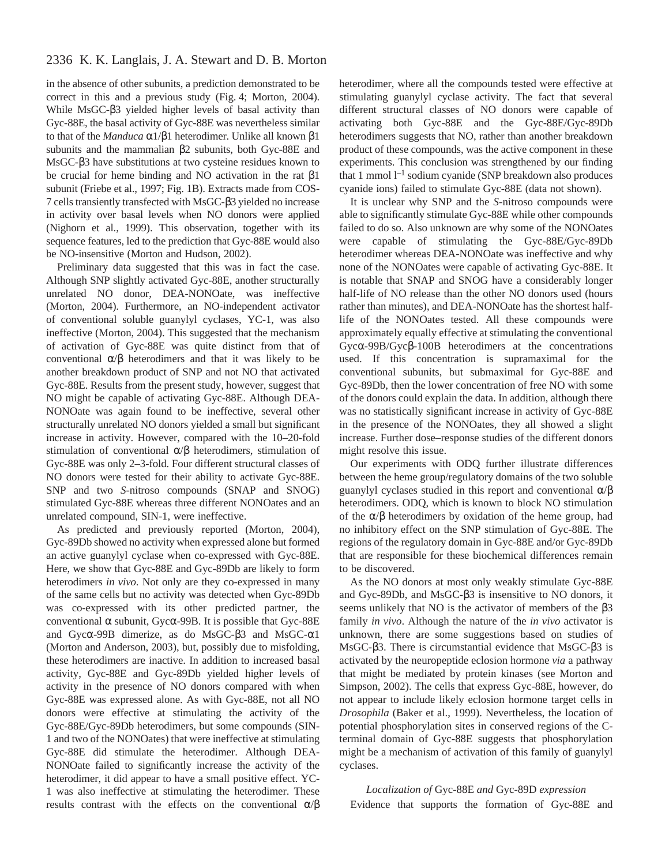in the absence of other subunits, a prediction demonstrated to be correct in this and a previous study (Fig. 4; Morton, 2004). While MsGC-β3 yielded higher levels of basal activity than Gyc-88E, the basal activity of Gyc-88E was nevertheless similar to that of the *Manduca* α1/β1 heterodimer. Unlike all known β1 subunits and the mammalian β2 subunits, both Gyc-88E and MsGC-β3 have substitutions at two cysteine residues known to be crucial for heme binding and NO activation in the rat β1 subunit (Friebe et al., 1997; Fig. 1B). Extracts made from COS-7 cells transiently transfected with MsGC-β3 yielded no increase in activity over basal levels when NO donors were applied (Nighorn et al., 1999). This observation, together with its sequence features, led to the prediction that Gyc-88E would also be NO-insensitive (Morton and Hudson, 2002).

Preliminary data suggested that this was in fact the case. Although SNP slightly activated Gyc-88E, another structurally unrelated NO donor, DEA-NONOate, was ineffective (Morton, 2004). Furthermore, an NO-independent activator of conventional soluble guanylyl cyclases, YC-1, was also ineffective (Morton, 2004). This suggested that the mechanism of activation of Gyc-88E was quite distinct from that of conventional  $\alpha/\beta$  heterodimers and that it was likely to be another breakdown product of SNP and not NO that activated Gyc-88E. Results from the present study, however, suggest that NO might be capable of activating Gyc-88E. Although DEA-NONOate was again found to be ineffective, several other structurally unrelated NO donors yielded a small but significant increase in activity. However, compared with the 10–20-fold stimulation of conventional α/β heterodimers, stimulation of Gyc-88E was only 2–3-fold. Four different structural classes of NO donors were tested for their ability to activate Gyc-88E. SNP and two *S*-nitroso compounds (SNAP and SNOG) stimulated Gyc-88E whereas three different NONOates and an unrelated compound, SIN-1, were ineffective.

As predicted and previously reported (Morton, 2004), Gyc-89Db showed no activity when expressed alone but formed an active guanylyl cyclase when co-expressed with Gyc-88E. Here, we show that Gyc-88E and Gyc-89Db are likely to form heterodimers *in vivo*. Not only are they co-expressed in many of the same cells but no activity was detected when Gyc-89Db was co-expressed with its other predicted partner, the conventional α subunit, Gycα-99B. It is possible that Gyc-88E and Gycα-99B dimerize, as do MsGC-β3 and MsGC-α1 (Morton and Anderson, 2003), but, possibly due to misfolding, these heterodimers are inactive. In addition to increased basal activity, Gyc-88E and Gyc-89Db yielded higher levels of activity in the presence of NO donors compared with when Gyc-88E was expressed alone. As with Gyc-88E, not all NO donors were effective at stimulating the activity of the Gyc-88E/Gyc-89Db heterodimers, but some compounds (SIN-1 and two of the NONOates) that were ineffective at stimulating Gyc-88E did stimulate the heterodimer. Although DEA-NONOate failed to significantly increase the activity of the heterodimer, it did appear to have a small positive effect. YC-1 was also ineffective at stimulating the heterodimer. These results contrast with the effects on the conventional α/β heterodimer, where all the compounds tested were effective at stimulating guanylyl cyclase activity. The fact that several different structural classes of NO donors were capable of activating both Gyc-88E and the Gyc-88E/Gyc-89Db heterodimers suggests that NO, rather than another breakdown product of these compounds, was the active component in these experiments. This conclusion was strengthened by our finding that 1 mmol  $l^{-1}$  sodium cyanide (SNP breakdown also produces cyanide ions) failed to stimulate Gyc-88E (data not shown).

It is unclear why SNP and the *S*-nitroso compounds were able to significantly stimulate Gyc-88E while other compounds failed to do so. Also unknown are why some of the NONOates were capable of stimulating the Gyc-88E/Gyc-89Db heterodimer whereas DEA-NONOate was ineffective and why none of the NONOates were capable of activating Gyc-88E. It is notable that SNAP and SNOG have a considerably longer half-life of NO release than the other NO donors used (hours rather than minutes), and DEA-NONOate has the shortest halflife of the NONOates tested. All these compounds were approximately equally effective at stimulating the conventional Gycα-99B/Gycβ-100B heterodimers at the concentrations used. If this concentration is supramaximal for the conventional subunits, but submaximal for Gyc-88E and Gyc-89Db, then the lower concentration of free NO with some of the donors could explain the data. In addition, although there was no statistically significant increase in activity of Gyc-88E in the presence of the NONOates, they all showed a slight increase. Further dose–response studies of the different donors might resolve this issue.

Our experiments with ODQ further illustrate differences between the heme group/regulatory domains of the two soluble guanylyl cyclases studied in this report and conventional  $\alpha/\beta$ heterodimers. ODQ, which is known to block NO stimulation of the  $\alpha/\beta$  heterodimers by oxidation of the heme group, had no inhibitory effect on the SNP stimulation of Gyc-88E. The regions of the regulatory domain in Gyc-88E and/or Gyc-89Db that are responsible for these biochemical differences remain to be discovered.

As the NO donors at most only weakly stimulate Gyc-88E and Gyc-89Db, and MsGC-β3 is insensitive to NO donors, it seems unlikely that NO is the activator of members of the β3 family *in vivo*. Although the nature of the *in vivo* activator is unknown, there are some suggestions based on studies of MsGC-β3. There is circumstantial evidence that MsGC-β3 is activated by the neuropeptide eclosion hormone *via* a pathway that might be mediated by protein kinases (see Morton and Simpson, 2002). The cells that express Gyc-88E, however, do not appear to include likely eclosion hormone target cells in *Drosophila* (Baker et al., 1999). Nevertheless, the location of potential phosphorylation sites in conserved regions of the Cterminal domain of Gyc-88E suggests that phosphorylation might be a mechanism of activation of this family of guanylyl cyclases.

*Localization of* Gyc-88E *and* Gyc-89D *expression* Evidence that supports the formation of Gyc-88E and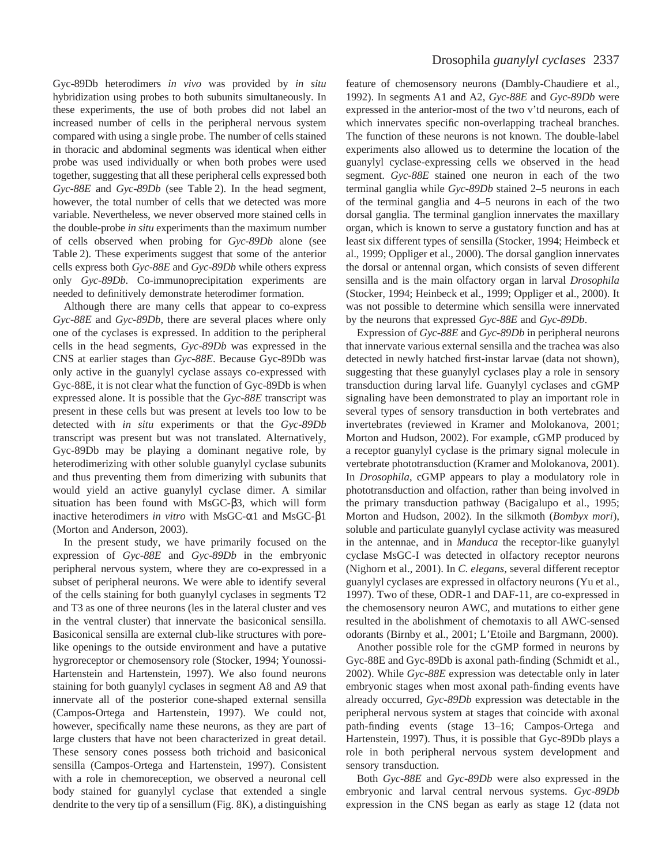Gyc-89Db heterodimers *in vivo* was provided by *in situ* hybridization using probes to both subunits simultaneously. In these experiments, the use of both probes did not label an increased number of cells in the peripheral nervous system compared with using a single probe. The number of cells stained in thoracic and abdominal segments was identical when either probe was used individually or when both probes were used together, suggesting that all these peripheral cells expressed both *Gyc-88E* and *Gyc-89Db* (see Table 2). In the head segment, however, the total number of cells that we detected was more variable. Nevertheless, we never observed more stained cells in the double-probe *in situ* experiments than the maximum number of cells observed when probing for *Gyc-89Db* alone (see Table 2). These experiments suggest that some of the anterior cells express both *Gyc-88E* and *Gyc-89Db* while others express only *Gyc-89Db*. Co-immunoprecipitation experiments are needed to definitively demonstrate heterodimer formation.

Although there are many cells that appear to co-express *Gyc-88E* and *Gyc-89Db*, there are several places where only one of the cyclases is expressed. In addition to the peripheral cells in the head segments, *Gyc-89Db* was expressed in the CNS at earlier stages than *Gyc-88E*. Because Gyc-89Db was only active in the guanylyl cyclase assays co-expressed with Gyc-88E, it is not clear what the function of Gyc-89Db is when expressed alone. It is possible that the *Gyc-88E* transcript was present in these cells but was present at levels too low to be detected with *in situ* experiments or that the *Gyc-89Db* transcript was present but was not translated. Alternatively, Gyc-89Db may be playing a dominant negative role, by heterodimerizing with other soluble guanylyl cyclase subunits and thus preventing them from dimerizing with subunits that would yield an active guanylyl cyclase dimer. A similar situation has been found with MsGC-β3, which will form inactive heterodimers *in vitro* with MsGC-α1 and MsGC-β1 (Morton and Anderson, 2003).

In the present study, we have primarily focused on the expression of *Gyc-88E* and *Gyc-89Db* in the embryonic peripheral nervous system, where they are co-expressed in a subset of peripheral neurons. We were able to identify several of the cells staining for both guanylyl cyclases in segments T2 and T3 as one of three neurons (les in the lateral cluster and ves in the ventral cluster) that innervate the basiconical sensilla. Basiconical sensilla are external club-like structures with porelike openings to the outside environment and have a putative hygroreceptor or chemosensory role (Stocker, 1994; Younossi-Hartenstein and Hartenstein, 1997). We also found neurons staining for both guanylyl cyclases in segment A8 and A9 that innervate all of the posterior cone-shaped external sensilla (Campos-Ortega and Hartenstein, 1997). We could not, however, specifically name these neurons, as they are part of large clusters that have not been characterized in great detail. These sensory cones possess both trichoid and basiconical sensilla (Campos-Ortega and Hartenstein, 1997). Consistent with a role in chemoreception, we observed a neuronal cell body stained for guanylyl cyclase that extended a single dendrite to the very tip of a sensillum (Fig. 8K), a distinguishing feature of chemosensory neurons (Dambly-Chaudiere et al., 1992). In segments A1 and A2, *Gyc-88E* and *Gyc-89Db* were expressed in the anterior-most of the two v'td neurons, each of which innervates specific non-overlapping tracheal branches. The function of these neurons is not known. The double-label experiments also allowed us to determine the location of the guanylyl cyclase-expressing cells we observed in the head segment. *Gyc-88E* stained one neuron in each of the two terminal ganglia while *Gyc-89Db* stained 2–5 neurons in each of the terminal ganglia and 4–5 neurons in each of the two dorsal ganglia. The terminal ganglion innervates the maxillary organ, which is known to serve a gustatory function and has at least six different types of sensilla (Stocker, 1994; Heimbeck et al., 1999; Oppliger et al., 2000). The dorsal ganglion innervates the dorsal or antennal organ, which consists of seven different sensilla and is the main olfactory organ in larval *Drosophila* (Stocker, 1994; Heinbeck et al., 1999; Oppliger et al., 2000). It was not possible to determine which sensilla were innervated by the neurons that expressed *Gyc-88E* and *Gyc-89Db*.

Expression of *Gyc-88E* and *Gyc-89Db* in peripheral neurons that innervate various external sensilla and the trachea was also detected in newly hatched first-instar larvae (data not shown), suggesting that these guanylyl cyclases play a role in sensory transduction during larval life. Guanylyl cyclases and cGMP signaling have been demonstrated to play an important role in several types of sensory transduction in both vertebrates and invertebrates (reviewed in Kramer and Molokanova, 2001; Morton and Hudson, 2002). For example, cGMP produced by a receptor guanylyl cyclase is the primary signal molecule in vertebrate phototransduction (Kramer and Molokanova, 2001). In *Drosophila*, cGMP appears to play a modulatory role in phototransduction and olfaction, rather than being involved in the primary transduction pathway (Bacigalupo et al., 1995; Morton and Hudson, 2002). In the silkmoth (*Bombyx mori*), soluble and particulate guanylyl cyclase activity was measured in the antennae, and in *Manduca* the receptor-like guanylyl cyclase MsGC-I was detected in olfactory receptor neurons (Nighorn et al., 2001). In *C. elegans*, several different receptor guanylyl cyclases are expressed in olfactory neurons (Yu et al., 1997). Two of these, ODR-1 and DAF-11, are co-expressed in the chemosensory neuron AWC, and mutations to either gene resulted in the abolishment of chemotaxis to all AWC-sensed odorants (Birnby et al., 2001; L'Etoile and Bargmann, 2000).

Another possible role for the cGMP formed in neurons by Gyc-88E and Gyc-89Db is axonal path-finding (Schmidt et al., 2002). While *Gyc-88E* expression was detectable only in later embryonic stages when most axonal path-finding events have already occurred, *Gyc-89Db* expression was detectable in the peripheral nervous system at stages that coincide with axonal path-finding events (stage 13–16; Campos-Ortega and Hartenstein, 1997). Thus, it is possible that Gyc-89Db plays a role in both peripheral nervous system development and sensory transduction.

Both *Gyc-88E* and *Gyc-89Db* were also expressed in the embryonic and larval central nervous systems. *Gyc-89Db* expression in the CNS began as early as stage 12 (data not